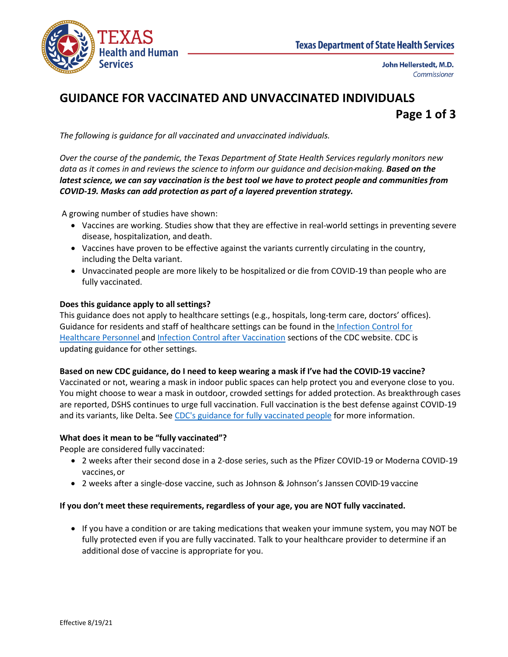

# **GUIDANCE FOR VACCINATED AND UNVACCINATED INDIVIDUALS Page 1 of 3**

*The following is guidance for all vaccinated and unvaccinated individuals.*

*Over the course of the pandemic, the Texas Department of State Health Services regularly monitors new data as it comes in and reviews the science to inform our guidance and decision-making. Based on the latest science, we can say vaccination is the best tool we have to protect people and communities from COVID-19. Masks can add protection as part of a layered prevention strategy.*

A growing number of studies have shown:

- Vaccines are working. Studies show that they are effective in real-world settings in preventing severe disease, hospitalization, and death.
- Vaccines have proven to be effective against the variants currently circulating in the country, including the Delta variant.
- Unvaccinated people are more likely to be hospitalized or die from COVID-19 than people who are fully vaccinated.

## **Does this guidance apply to allsettings?**

This guidance does not apply to healthcare settings (e.g., hospitals, long-term care, doctors' offices). Guidance for residents and staff of healthcare settings can be found in the [Infection Control for](https://www.cdc.gov/coronavirus/2019-ncov/hcp/infection-control-recommendations.html)  [Healthcare Personnel](https://www.cdc.gov/coronavirus/2019-ncov/hcp/infection-control-recommendations.html) and [Infection Control after Vaccination](https://www.cdc.gov/coronavirus/2019-ncov/hcp/infection-control-after-vaccination.html) sections of the CDC website. CDC is updating guidance for other settings.

#### **Based on new CDC guidance, do I need to keep wearing a mask if I've had the COVID-19 vaccine?**

Vaccinated or not, wearing a mask in indoor public spaces can help protect you and everyone close to you. You might choose to wear a mask in outdoor, crowded settings for added protection. As breakthrough cases are reported, DSHS continues to urge full vaccination. Full vaccination is the best defense against COVID-19 and its variants, like Delta. Se[e CDC's guidance for fully vaccinated people](https://www.cdc.gov/coronavirus/2019-ncov/vaccines/fully-vaccinated-guidance.html) for more information.

# **What does it mean to be "fully vaccinated"?**

People are considered fully vaccinated:

- 2 weeks after their second dose in a 2-dose series, such as the Pfizer COVID-19 or Moderna COVID-19 vaccines,or
- 2 weeks after a single-dose vaccine, such as Johnson & Johnson's Janssen COVID-19 vaccine

#### **If you don't meet these requirements, regardless of your age, you are NOT fully vaccinated.**

• If you have a condition or are taking medications that weaken your immune system, you may NOT be fully protected even if you are fully vaccinated. Talk to your healthcare provider to determine if an additional dose of vaccine is appropriate for you.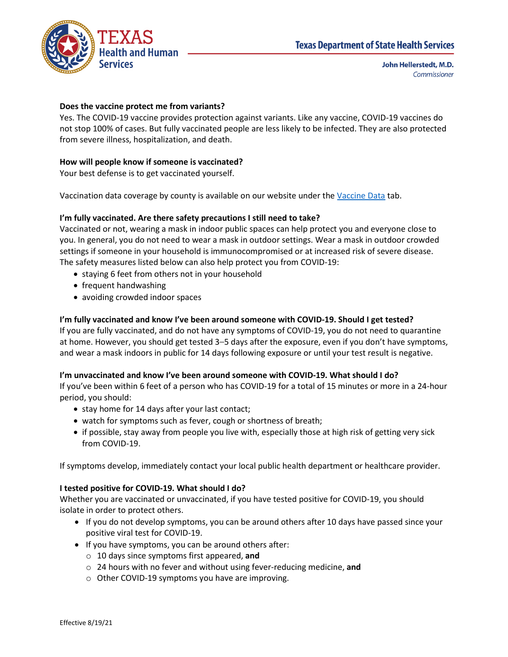

# **Does the vaccine protect me from variants?**

Yes. The COVID-19 vaccine provides protection against variants. Like any vaccine, COVID-19 vaccines do not stop 100% of cases. But fully vaccinated people are less likely to be infected. They are also protected from severe illness, hospitalization, and death.

# **How will people know if someone is vaccinated?**

Your best defense is to get vaccinated yourself.

Vaccination data coverage by county is available on our website under the [Vaccine Data](https://tabexternal.dshs.texas.gov/t/THD/views/COVID-19VaccineinTexasDashboard/Summary?:origin=card_share_link&:embed=y&:isGuestRedirectFromVizportal=y) tab.

## **I'm fully vaccinated. Are there safety precautions I still need to take?**

Vaccinated or not, wearing a mask in indoor public spaces can help protect you and everyone close to you. In general, you do not need to wear a mask in outdoor settings. Wear a mask in outdoor crowded settings if someone in your household is immunocompromised or at increased risk of severe disease. The safety measures listed below can also help protect you from COVID-19:

- staying 6 feet from others not in your household
- frequent handwashing
- avoiding crowded indoor spaces

## **I'm fully vaccinated and know I've been around someone with COVID-19. Should I get tested?**

If you are fully vaccinated, and do not have any symptoms of COVID-19, you do not need to quarantine at home. However, you should get tested 3–5 days after the exposure, even if you don't have symptoms, and wear a mask indoors in public for 14 days following exposure or until your test result is negative.

#### **I'm unvaccinated and know I've been around someone with COVID-19. What should I do?**

If you've been within 6 feet of a person who has COVID-19 for a total of 15 minutes or more in a 24-hour period, you should:

- stay home for 14 days after your last contact;
- watch for symptoms such as fever, cough or shortness of breath;
- if possible, stay away from people you live with, especially those at high risk of getting very sick from COVID-19.

If symptoms develop, immediately contact your local public health department or healthcare provider.

#### **I tested positive for COVID-19. What should I do?**

Whether you are vaccinated or unvaccinated, if you have tested positive for COVID-19, you should isolate in order to protect others.

- If you do not develop symptoms, you can be around others after 10 days have passed since your positive viral test for COVID-19.
- If you have symptoms, you can be around others after:
	- o 10 days since symptoms first appeared, **and**
	- o 24 hours with no fever and without using fever-reducing medicine, **and**
	- o Other COVID-19 symptoms you have are improving.